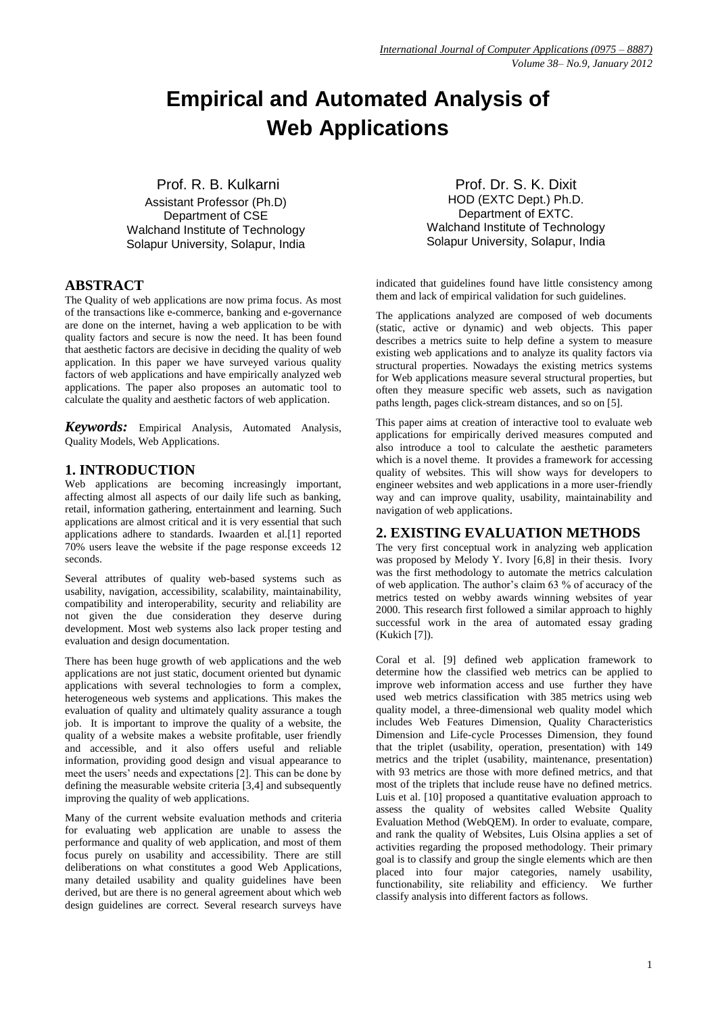# **Empirical and Automated Analysis of Web Applications**

Prof. R. B. Kulkarni

Assistant Professor (Ph.D) Department of CSE Walchand Institute of Technology Solapur University, Solapur, India

# **ABSTRACT**

The Quality of web applications are now prima focus. As most of the transactions like e-commerce, banking and e-governance are done on the internet, having a web application to be with quality factors and secure is now the need. It has been found that aesthetic factors are decisive in deciding the quality of web application. In this paper we have surveyed various quality factors of web applications and have empirically analyzed web applications. The paper also proposes an automatic tool to calculate the quality and aesthetic factors of web application.

*Keywords:* Empirical Analysis, Automated Analysis, Quality Models, Web Applications.

# **1. INTRODUCTION**

Web applications are becoming increasingly important, affecting almost all aspects of our daily life such as banking, retail, information gathering, entertainment and learning. Such applications are almost critical and it is very essential that such applications adhere to standards. Iwaarden et al.[1] reported 70% users leave the website if the page response exceeds 12 seconds.

Several attributes of quality web-based systems such as usability, navigation, accessibility, scalability, maintainability, compatibility and interoperability, security and reliability are not given the due consideration they deserve during development. Most web systems also lack proper testing and evaluation and design documentation.

There has been huge growth of web applications and the web applications are not just static, document oriented but dynamic applications with several technologies to form a complex, heterogeneous web systems and applications. This makes the evaluation of quality and ultimately quality assurance a tough job. It is important to improve the quality of a website, the quality of a website makes a website profitable, user friendly and accessible, and it also offers useful and reliable information, providing good design and visual appearance to meet the users' needs and expectations [2]. This can be done by defining the measurable website criteria [3,4] and subsequently improving the quality of web applications.

Many of the current website evaluation methods and criteria for evaluating web application are unable to assess the performance and quality of web application, and most of them focus purely on usability and accessibility. There are still deliberations on what constitutes a good Web Applications, many detailed usability and quality guidelines have been derived, but are there is no general agreement about which web design guidelines are correct. Several research surveys have

Prof. Dr. S. K. Dixit HOD (EXTC Dept.) Ph.D. Department of EXTC. Walchand Institute of Technology Solapur University, Solapur, India

indicated that guidelines found have little consistency among them and lack of empirical validation for such guidelines.

The applications analyzed are composed of web documents (static, active or dynamic) and web objects. This paper describes a metrics suite to help define a system to measure existing web applications and to analyze its quality factors via structural properties. Nowadays the existing metrics systems for Web applications measure several structural properties, but often they measure specific web assets, such as navigation paths length, pages click-stream distances, and so on [5].

This paper aims at creation of interactive tool to evaluate web applications for empirically derived measures computed and also introduce a tool to calculate the aesthetic parameters which is a novel theme. It provides a framework for accessing quality of websites. This will show ways for developers to engineer websites and web applications in a more user-friendly way and can improve quality, usability, maintainability and navigation of web applications.

# **2. EXISTING EVALUATION METHODS**

The very first conceptual work in analyzing web application was proposed by Melody Y. Ivory [6,8] in their thesis. Ivory was the first methodology to automate the metrics calculation of web application. The author's claim 63 % of accuracy of the metrics tested on webby awards winning websites of year 2000. This research first followed a similar approach to highly successful work in the area of automated essay grading (Kukich [7]).

Coral et al. [9] defined web application framework to determine how the classified web metrics can be applied to improve web information access and use further they have used web metrics classification with 385 metrics using web quality model, a three-dimensional web quality model which includes Web Features Dimension, Quality Characteristics Dimension and Life-cycle Processes Dimension, they found that the triplet (usability, operation, presentation) with 149 metrics and the triplet (usability, maintenance, presentation) with 93 metrics are those with more defined metrics, and that most of the triplets that include reuse have no defined metrics. Luis et al. [10] proposed a quantitative evaluation approach to assess the quality of websites called Website Quality Evaluation Method (WebQEM). In order to evaluate, compare, and rank the quality of Websites, Luis Olsina applies a set of activities regarding the proposed methodology. Their primary goal is to classify and group the single elements which are then placed into four major categories, namely usability, functionability, site reliability and efficiency. We further classify analysis into different factors as follows.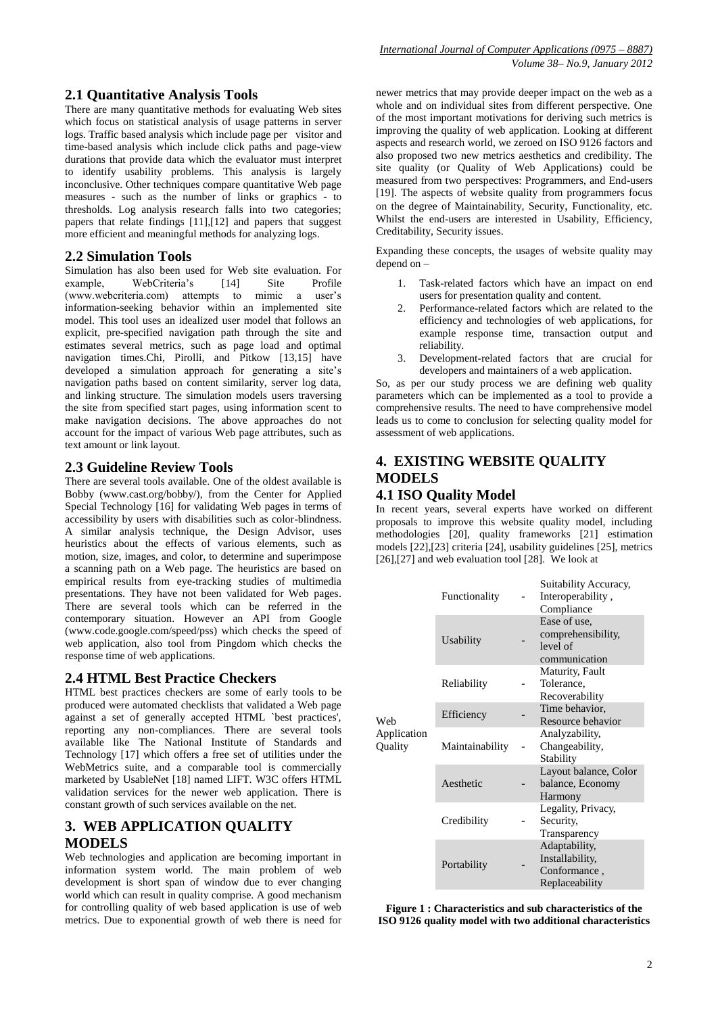# **2.1 Quantitative Analysis Tools**

There are many quantitative methods for evaluating Web sites which focus on statistical analysis of usage patterns in server logs. Traffic based analysis which include page per visitor and time-based analysis which include click paths and page-view durations that provide data which the evaluator must interpret to identify usability problems. This analysis is largely inconclusive. Other techniques compare quantitative Web page measures - such as the number of links or graphics - to thresholds. Log analysis research falls into two categories; papers that relate findings [11],[12] and papers that suggest more efficient and meaningful methods for analyzing logs.

## **2.2 Simulation Tools**

Simulation has also been used for Web site evaluation. For example, WebCriteria's [14] Site Profile (www.webcriteria.com) attempts to mimic a user's information-seeking behavior within an implemented site model. This tool uses an idealized user model that follows an explicit, pre-specified navigation path through the site and estimates several metrics, such as page load and optimal navigation times.Chi, Pirolli, and Pitkow [13,15] have developed a simulation approach for generating a site's navigation paths based on content similarity, server log data, and linking structure. The simulation models users traversing the site from specified start pages, using information scent to make navigation decisions. The above approaches do not account for the impact of various Web page attributes, such as text amount or link layout.

## **2.3 Guideline Review Tools**

There are several tools available. One of the oldest available is Bobby (www.cast.org/bobby/), from the Center for Applied Special Technology [16] for validating Web pages in terms of accessibility by users with disabilities such as color-blindness. A similar analysis technique, the Design Advisor, uses heuristics about the effects of various elements, such as motion, size, images, and color, to determine and superimpose a scanning path on a Web page. The heuristics are based on empirical results from eye-tracking studies of multimedia presentations. They have not been validated for Web pages. There are several tools which can be referred in the contemporary situation. However an API from Google (www.code.google.com/speed/pss) which checks the speed of web application, also tool from Pingdom which checks the response time of web applications.

### **2.4 HTML Best Practice Checkers**

HTML best practices checkers are some of early tools to be produced were automated checklists that validated a Web page against a set of generally accepted HTML `best practices', reporting any non-compliances. There are several tools available like The National Institute of Standards and Technology [17] which offers a free set of utilities under the WebMetrics suite, and a comparable tool is commercially marketed by UsableNet [18] named LIFT. W3C offers HTML validation services for the newer web application. There is constant growth of such services available on the net.

# **3. WEB APPLICATION QUALITY MODELS**

Web technologies and application are becoming important in information system world. The main problem of web development is short span of window due to ever changing world which can result in quality comprise. A good mechanism for controlling quality of web based application is use of web metrics. Due to exponential growth of web there is need for newer metrics that may provide deeper impact on the web as a whole and on individual sites from different perspective. One of the most important motivations for deriving such metrics is improving the quality of web application. Looking at different aspects and research world, we zeroed on ISO 9126 factors and also proposed two new metrics aesthetics and credibility. The site quality (or Quality of Web Applications) could be measured from two perspectives: Programmers, and End-users [19]. The aspects of website quality from programmers focus on the degree of Maintainability, Security, Functionality, etc. Whilst the end-users are interested in Usability, Efficiency, Creditability, Security issues.

Expanding these concepts, the usages of website quality may depend on –

- 1. Task-related factors which have an impact on end users for presentation quality and content.
- Performance-related factors which are related to the efficiency and technologies of web applications, for example response time, transaction output and reliability.
- 3. Development-related factors that are crucial for developers and maintainers of a web application.

So, as per our study process we are defining web quality parameters which can be implemented as a tool to provide a comprehensive results. The need to have comprehensive model leads us to come to conclusion for selecting quality model for assessment of web applications.

# **4. EXISTING WEBSITE QUALITY MODELS**

# **4.1 ISO Quality Model**

In recent years, several experts have worked on different proposals to improve this website quality model, including methodologies [20], quality frameworks [21] estimation models [22],[23] criteria [24], usability guidelines [25], metrics [26],[27] and web evaluation tool [28]. We look at

|                        | Functionality   | Suitability Accuracy,<br>Interoperability,<br>Compliance           |
|------------------------|-----------------|--------------------------------------------------------------------|
|                        | Usability       | Ease of use,<br>comprehensibility,<br>level of<br>communication    |
|                        | Reliability     | Maturity, Fault<br>Tolerance,<br>Recoverability                    |
| Web                    | Efficiency      | Time behavior,<br>Resource behavior                                |
| Application<br>Quality | Maintainability | Analyzability,<br>Changeability,<br>Stability                      |
|                        | Aesthetic       | Layout balance, Color<br>balance, Economy<br>Harmony               |
|                        | Credibility     | Legality, Privacy,<br>Security,<br>Transparency                    |
|                        | Portability     | Adaptability,<br>Installability,<br>Conformance,<br>Replaceability |

**Figure 1 : Characteristics and sub characteristics of the ISO 9126 quality model with two additional characteristics**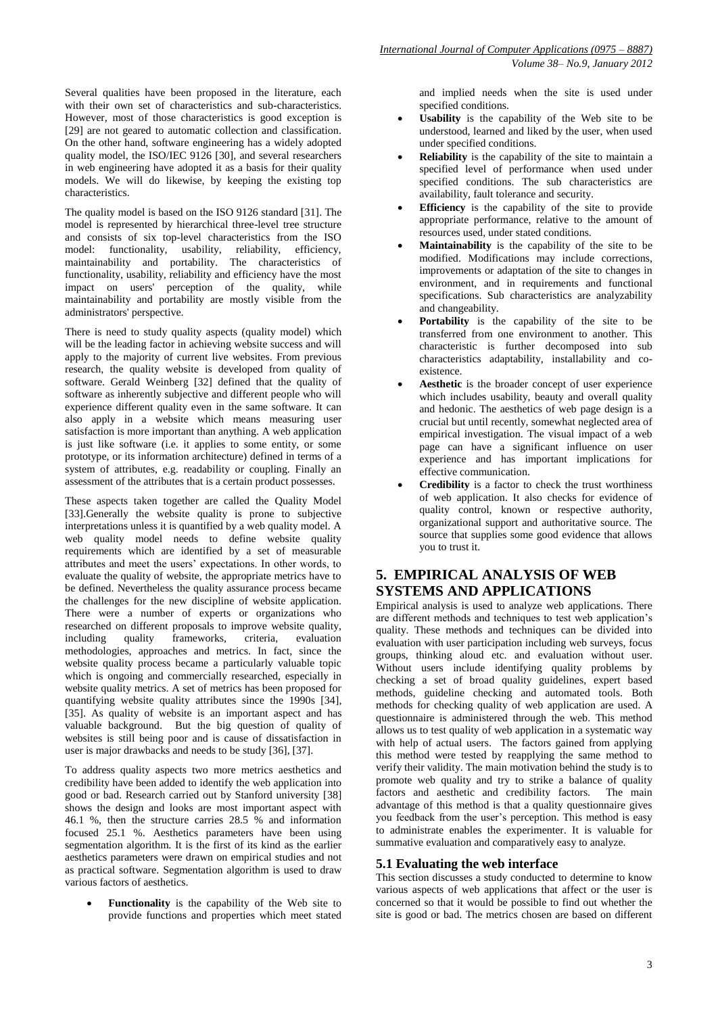Several qualities have been proposed in the literature, each with their own set of characteristics and sub-characteristics. However, most of those characteristics is good exception is [29] are not geared to automatic collection and classification. On the other hand, software engineering has a widely adopted quality model, the ISO/IEC 9126 [30], and several researchers in web engineering have adopted it as a basis for their quality models. We will do likewise, by keeping the existing top characteristics.

The quality model is based on the ISO 9126 standard [31]. The model is represented by hierarchical three-level tree structure and consists of six top-level characteristics from the ISO model: functionality, usability, reliability, efficiency, maintainability and portability. The characteristics of functionality, usability, reliability and efficiency have the most impact on users' perception of the quality, while maintainability and portability are mostly visible from the administrators' perspective.

There is need to study quality aspects (quality model) which will be the leading factor in achieving website success and will apply to the majority of current live websites. From previous research, the quality website is developed from quality of software. Gerald Weinberg [32] defined that the quality of software as inherently subjective and different people who will experience different quality even in the same software. It can also apply in a website which means measuring user satisfaction is more important than anything. A web application is just like software (i.e. it applies to some entity, or some prototype, or its information architecture) defined in terms of a system of attributes, e.g. readability or coupling. Finally an assessment of the attributes that is a certain product possesses.

These aspects taken together are called the Quality Model [33].Generally the website quality is prone to subjective interpretations unless it is quantified by a web quality model. A web quality model needs to define website quality requirements which are identified by a set of measurable attributes and meet the users' expectations. In other words, to evaluate the quality of website, the appropriate metrics have to be defined. Nevertheless the quality assurance process became the challenges for the new discipline of website application. There were a number of experts or organizations who researched on different proposals to improve website quality, including quality frameworks, criteria, evaluation methodologies, approaches and metrics. In fact, since the website quality process became a particularly valuable topic which is ongoing and commercially researched, especially in website quality metrics. A set of metrics has been proposed for quantifying website quality attributes since the 1990s [34], [35]. As quality of website is an important aspect and has valuable background. But the big question of quality of websites is still being poor and is cause of dissatisfaction in user is major drawbacks and needs to be study [36], [37].

To address quality aspects two more metrics aesthetics and credibility have been added to identify the web application into good or bad. Research carried out by Stanford university [38] shows the design and looks are most important aspect with 46.1 %, then the structure carries 28.5 % and information focused 25.1 %. Aesthetics parameters have been using segmentation algorithm. It is the first of its kind as the earlier aesthetics parameters were drawn on empirical studies and not as practical software. Segmentation algorithm is used to draw various factors of aesthetics.

 **Functionality** is the capability of the Web site to provide functions and properties which meet stated and implied needs when the site is used under specified conditions.

- **Usability** is the capability of the Web site to be understood, learned and liked by the user, when used under specified conditions.
- **Reliability** is the capability of the site to maintain a specified level of performance when used under specified conditions. The sub characteristics are availability, fault tolerance and security.
- **Efficiency** is the capability of the site to provide appropriate performance, relative to the amount of resources used, under stated conditions.
- **Maintainability** is the capability of the site to be modified. Modifications may include corrections, improvements or adaptation of the site to changes in environment, and in requirements and functional specifications. Sub characteristics are analyzability and changeability.
- **Portability** is the capability of the site to be transferred from one environment to another. This characteristic is further decomposed into sub characteristics adaptability, installability and coexistence.
- **Aesthetic** is the broader concept of user experience which includes usability, beauty and overall quality and hedonic. The aesthetics of web page design is a crucial but until recently, somewhat neglected area of empirical investigation. The visual impact of a web page can have a significant influence on user experience and has important implications for effective communication.
- **Credibility** is a factor to check the trust worthiness of web application. It also checks for evidence of quality control, known or respective authority, organizational support and authoritative source. The source that supplies some good evidence that allows you to trust it.

# **5. EMPIRICAL ANALYSIS OF WEB SYSTEMS AND APPLICATIONS**

Empirical analysis is used to analyze web applications. There are different methods and techniques to test web application's quality. These methods and techniques can be divided into evaluation with user participation including web surveys, focus groups, thinking aloud etc. and evaluation without user. Without users include identifying quality problems by checking a set of broad quality guidelines, expert based methods, guideline checking and automated tools. Both methods for checking quality of web application are used. A questionnaire is administered through the web. This method allows us to test quality of web application in a systematic way with help of actual users. The factors gained from applying this method were tested by reapplying the same method to verify their validity. The main motivation behind the study is to promote web quality and try to strike a balance of quality factors and aesthetic and credibility factors. The main advantage of this method is that a quality questionnaire gives you feedback from the user's perception. This method is easy to administrate enables the experimenter. It is valuable for summative evaluation and comparatively easy to analyze.

# **5.1 Evaluating the web interface**

This section discusses a study conducted to determine to know various aspects of web applications that affect or the user is concerned so that it would be possible to find out whether the site is good or bad. The metrics chosen are based on different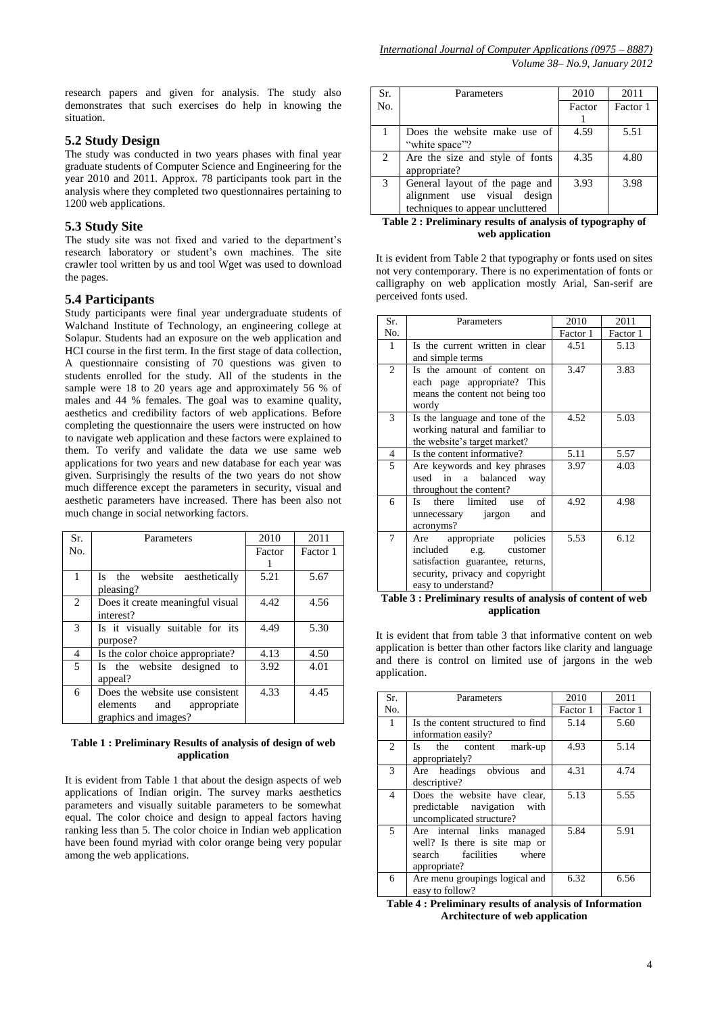research papers and given for analysis. The study also demonstrates that such exercises do help in knowing the situation.

## **5.2 Study Design**

The study was conducted in two years phases with final year graduate students of Computer Science and Engineering for the year 2010 and 2011. Approx. 78 participants took part in the analysis where they completed two questionnaires pertaining to 1200 web applications.

## **5.3 Study Site**

The study site was not fixed and varied to the department's research laboratory or student's own machines. The site crawler tool written by us and tool Wget was used to download the pages.

## **5.4 Participants**

Study participants were final year undergraduate students of Walchand Institute of Technology, an engineering college at Solapur. Students had an exposure on the web application and HCI course in the first term. In the first stage of data collection, A questionnaire consisting of 70 questions was given to students enrolled for the study. All of the students in the sample were 18 to 20 years age and approximately 56 % of males and 44 % females. The goal was to examine quality, aesthetics and credibility factors of web applications. Before completing the questionnaire the users were instructed on how to navigate web application and these factors were explained to them. To verify and validate the data we use same web applications for two years and new database for each year was given. Surprisingly the results of the two years do not show much difference except the parameters in security, visual and aesthetic parameters have increased. There has been also not much change in social networking factors.

| Sr. | Parameters                       | 2010   | 2011     |
|-----|----------------------------------|--------|----------|
| No. |                                  | Factor | Factor 1 |
|     |                                  |        |          |
| 1   | Is the website aesthetically     | 5.21   | 5.67     |
|     | pleasing?                        |        |          |
| 2   | Does it create meaningful visual | 4.42   | 4.56     |
|     | interest?                        |        |          |
| 3   | Is it visually suitable for its  | 4.49   | 5.30     |
|     | purpose?                         |        |          |
| 4   | Is the color choice appropriate? | 4.13   | 4.50     |
| 5   | Is the website designed to       | 3.92   | 4.01     |
|     | appeal?                          |        |          |
| 6   | Does the website use consistent  | 4.33   | 4.45     |
|     | elements and<br>appropriate      |        |          |
|     | graphics and images?             |        |          |

#### **Table 1 : Preliminary Results of analysis of design of web application**

It is evident from Table 1 that about the design aspects of web applications of Indian origin. The survey marks aesthetics parameters and visually suitable parameters to be somewhat equal. The color choice and design to appeal factors having ranking less than 5. The color choice in Indian web application have been found myriad with color orange being very popular among the web applications.

| Sr. | Parameters                       | 2010   | 2011     |
|-----|----------------------------------|--------|----------|
| No. |                                  | Factor | Factor 1 |
|     |                                  |        |          |
|     | Does the website make use of     | 4.59   | 5.51     |
|     | "white space"?                   |        |          |
| 2   | Are the size and style of fonts  | 4.35   | 4.80     |
|     | appropriate?                     |        |          |
| 3   | General layout of the page and   | 3.93   | 3.98     |
|     | alignment use visual design      |        |          |
|     | techniques to appear uncluttered |        |          |

## **Table 2 : Preliminary results of analysis of typography of web application**

It is evident from Table 2 that typography or fonts used on sites not very contemporary. There is no experimentation of fonts or calligraphy on web application mostly Arial, San-serif are perceived fonts used.

| Sr.            | Parameters                        | 2010     | 2011     |
|----------------|-----------------------------------|----------|----------|
| No.            |                                   | Factor 1 | Factor 1 |
| 1              | Is the current written in clear   | 4.51     | 5.13     |
|                | and simple terms                  |          |          |
| $\overline{c}$ | Is the amount of content on       | 3.47     | 3.83     |
|                | each page appropriate? This       |          |          |
|                | means the content not being too   |          |          |
|                | wordy                             |          |          |
| 3              | Is the language and tone of the   | 4.52     | 5.03     |
|                | working natural and familiar to   |          |          |
|                | the website's target market?      |          |          |
| $\overline{4}$ | Is the content informative?       | 5.11     | 5.57     |
| 5              | Are keywords and key phrases      | 3.97     | 4.03     |
|                | used in a<br>balanced<br>way      |          |          |
|                | throughout the content?           |          |          |
| 6              | there limited<br>of<br>Is.<br>use | 4.92     | 4.98     |
|                | unnecessary jargon<br>and         |          |          |
|                | acronyms?                         |          |          |
| 7              | Are appropriate policies          | 5.53     | 6.12     |
|                | included<br>e.g. customer         |          |          |
|                | satisfaction guarantee, returns,  |          |          |
|                | security, privacy and copyright   |          |          |
|                | easy to understand?               |          |          |

**Table 3 : Preliminary results of analysis of content of web application**

It is evident that from table 3 that informative content on web application is better than other factors like clarity and language and there is control on limited use of jargons in the web application.

| Sr.            | Parameters                                                                                                | 2010     | 2011     |
|----------------|-----------------------------------------------------------------------------------------------------------|----------|----------|
| No.            |                                                                                                           | Factor 1 | Factor 1 |
| 1              | Is the content structured to find<br>information easily?                                                  | 5.14     | 5.60     |
| $\mathfrak{D}$ | the<br>content<br>mark-up<br>Is —<br>appropriately?                                                       | 4.93     | 5.14     |
| 3              | Are headings obvious<br>and<br>descriptive?                                                               | 4.31     | 4.74     |
| 4              | Does the website have clear,<br>predictable navigation<br>with<br>uncomplicated structure?                | 5.13     | 5.55     |
| 5              | Are internal links managed<br>well? Is there is site map or<br>search facilities<br>where<br>appropriate? | 5.84     | 5.91     |
| 6              | Are menu groupings logical and<br>easy to follow?                                                         | 6.32     | 6.56     |

**Table 4 : Preliminary results of analysis of Information Architecture of web application**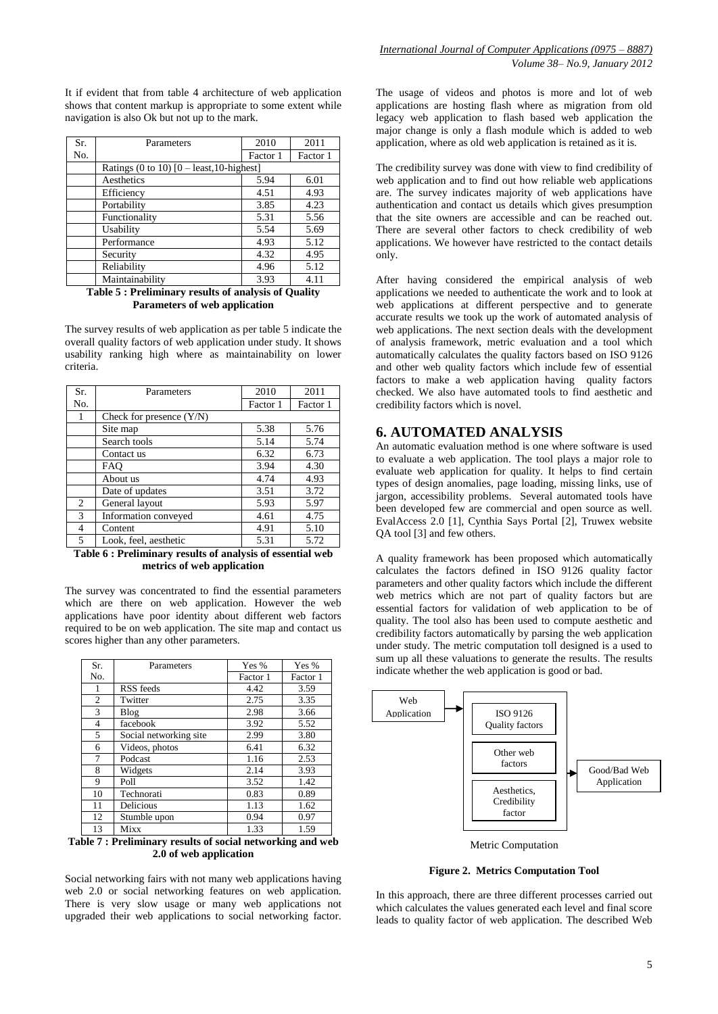It if evident that from table 4 architecture of web application shows that content markup is appropriate to some extent while navigation is also Ok but not up to the mark.

| Sr. | Parameters                                  | 2010     | 2011     |
|-----|---------------------------------------------|----------|----------|
| No. |                                             | Factor 1 | Factor 1 |
|     | Ratings (0 to 10) $[0 -$ least, 10-highest] |          |          |
|     | Aesthetics                                  | 5.94     | 6.01     |
|     | Efficiency                                  | 4.51     | 4.93     |
|     | Portability                                 | 3.85     | 4.23     |
|     | Functionality                               | 5.31     | 5.56     |
|     | Usability                                   | 5.54     | 5.69     |
|     | Performance                                 | 4.93     | 5.12     |
|     | Security                                    | 4.32     | 4.95     |
|     | Reliability                                 | 4.96     | 5.12     |
|     | Maintainability                             | 3.93     | 4.11     |

#### **Table 5 : Preliminary results of analysis of Quality Parameters of web application**

The survey results of web application as per table 5 indicate the overall quality factors of web application under study. It shows usability ranking high where as maintainability on lower criteria.

| Parameters                 | 2010     | 2011     |
|----------------------------|----------|----------|
|                            | Factor 1 | Factor 1 |
| Check for presence $(Y/N)$ |          |          |
| Site map                   | 5.38     | 5.76     |
| Search tools               | 5.14     | 5.74     |
| Contact us                 | 6.32     | 6.73     |
| <b>FAO</b>                 | 3.94     | 4.30     |
| About us                   | 4.74     | 4.93     |
| Date of updates            | 3.51     | 3.72     |
| General layout             | 5.93     | 5.97     |
| Information conveyed       | 4.61     | 4.75     |
| Content                    | 4.91     | 5.10     |
| Look, feel, aesthetic      | 5.31     | 5.72     |
|                            |          |          |

**Table 6 : Preliminary results of analysis of essential web metrics of web application**

The survey was concentrated to find the essential parameters which are there on web application. However the web applications have poor identity about different web factors required to be on web application. The site map and contact us scores higher than any other parameters.

| Sr.            | Parameters                                              | Yes %    | Yes %    |  |  |  |
|----------------|---------------------------------------------------------|----------|----------|--|--|--|
| No.            |                                                         | Factor 1 | Factor 1 |  |  |  |
| 1              | RSS feeds                                               | 4.42     | 3.59     |  |  |  |
| $\overline{c}$ | Twitter                                                 | 2.75     | 3.35     |  |  |  |
| 3              | <b>Blog</b>                                             | 2.98     | 3.66     |  |  |  |
| $\overline{4}$ | facebook                                                | 3.92     | 5.52     |  |  |  |
| 5              | Social networking site                                  | 2.99     | 3.80     |  |  |  |
| 6              | Videos, photos                                          | 6.41     | 6.32     |  |  |  |
| 7              | Podcast                                                 | 1.16     | 2.53     |  |  |  |
| 8              | Widgets                                                 | 2.14     | 3.93     |  |  |  |
| 9              | Poll                                                    | 3.52     | 1.42     |  |  |  |
| 10             | Technorati                                              | 0.83     | 0.89     |  |  |  |
| 11             | Delicious                                               | 1.13     | 1.62     |  |  |  |
| 12             | Stumble upon                                            | 0.94     | 0.97     |  |  |  |
| 13             | Mixx                                                    | 1.33     | 1.59     |  |  |  |
|                | hle 7 • Preliminary results of social networking and we |          |          |  |  |  |

**Table 7 : Preliminary results of social networking and web 2.0 of web application**

Social networking fairs with not many web applications having web 2.0 or social networking features on web application. There is very slow usage or many web applications not upgraded their web applications to social networking factor.

The usage of videos and photos is more and lot of web applications are hosting flash where as migration from old legacy web application to flash based web application the major change is only a flash module which is added to web application, where as old web application is retained as it is.

The credibility survey was done with view to find credibility of web application and to find out how reliable web applications are. The survey indicates majority of web applications have authentication and contact us details which gives presumption that the site owners are accessible and can be reached out. There are several other factors to check credibility of web applications. We however have restricted to the contact details only.

After having considered the empirical analysis of web applications we needed to authenticate the work and to look at web applications at different perspective and to generate accurate results we took up the work of automated analysis of web applications. The next section deals with the development of analysis framework, metric evaluation and a tool which automatically calculates the quality factors based on ISO 9126 and other web quality factors which include few of essential factors to make a web application having quality factors checked. We also have automated tools to find aesthetic and credibility factors which is novel.

## **6. AUTOMATED ANALYSIS**

An automatic evaluation method is one where software is used to evaluate a web application. The tool plays a major role to evaluate web application for quality. It helps to find certain types of design anomalies, page loading, missing links, use of jargon, accessibility problems. Several automated tools have been developed few are commercial and open source as well. EvalAccess 2.0 [1], Cynthia Says Portal [2], Truwex website QA tool [3] and few others.

A quality framework has been proposed which automatically calculates the factors defined in ISO 9126 quality factor parameters and other quality factors which include the different web metrics which are not part of quality factors but are essential factors for validation of web application to be of quality. The tool also has been used to compute aesthetic and credibility factors automatically by parsing the web application under study. The metric computation toll designed is a used to sum up all these valuations to generate the results. The results indicate whether the web application is good or bad.



Metric Computation

**Figure 2. Metrics Computation Tool**

In this approach, there are three different processes carried out which calculates the values generated each level and final score leads to quality factor of web application. The described Web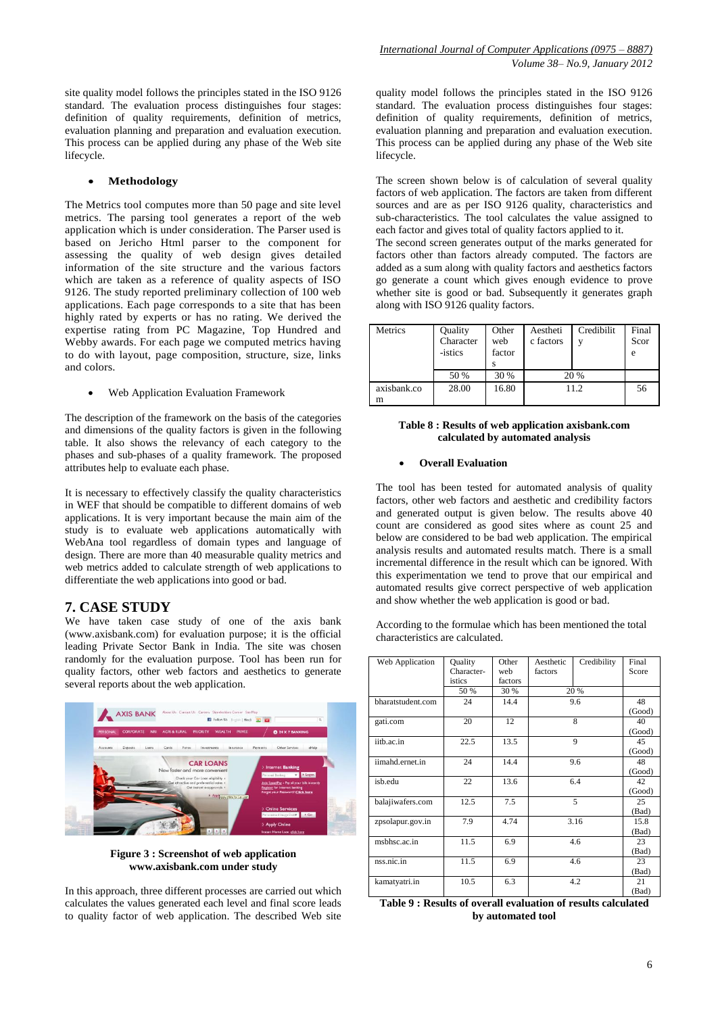site quality model follows the principles stated in the ISO 9126 standard. The evaluation process distinguishes four stages: definition of quality requirements, definition of metrics, evaluation planning and preparation and evaluation execution. This process can be applied during any phase of the Web site lifecycle.

#### **Methodology**

The Metrics tool computes more than 50 page and site level metrics. The parsing tool generates a report of the web application which is under consideration. The Parser used is based on Jericho Html parser to the component for assessing the quality of web design gives detailed information of the site structure and the various factors which are taken as a reference of quality aspects of ISO 9126. The study reported preliminary collection of 100 web applications. Each page corresponds to a site that has been highly rated by experts or has no rating. We derived the expertise rating from PC Magazine, Top Hundred and Webby awards. For each page we computed metrics having to do with layout, page composition, structure, size, links and colors.

Web Application Evaluation Framework

The description of the framework on the basis of the categories and dimensions of the quality factors is given in the following table. It also shows the relevancy of each category to the phases and sub-phases of a quality framework. The proposed attributes help to evaluate each phase.

It is necessary to effectively classify the quality characteristics in WEF that should be compatible to different domains of web applications. It is very important because the main aim of the study is to evaluate web applications automatically with WebAna tool regardless of domain types and language of design. There are more than 40 measurable quality metrics and web metrics added to calculate strength of web applications to differentiate the web applications into good or bad.

## **7. CASE STUDY**

We have taken case study of one of the axis bank (www.axisbank.com) for evaluation purpose; it is the official leading Private Sector Bank in India. The site was chosen randomly for the evaluation purpose. Tool has been run for quality factors, other web factors and aesthetics to generate several reports about the web application.



**Figure 3 : Screenshot of web application [www.axisbank.com](http://www.axisbank.com/) under study**

In this approach, three different processes are carried out which calculates the values generated each level and final score leads to quality factor of web application. The described Web site quality model follows the principles stated in the ISO 9126 standard. The evaluation process distinguishes four stages: definition of quality requirements, definition of metrics, evaluation planning and preparation and evaluation execution. This process can be applied during any phase of the Web site lifecycle.

The screen shown below is of calculation of several quality factors of web application. The factors are taken from different sources and are as per ISO 9126 quality, characteristics and sub-characteristics. The tool calculates the value assigned to each factor and gives total of quality factors applied to it.

The second screen generates output of the marks generated for factors other than factors already computed. The factors are added as a sum along with quality factors and aesthetics factors go generate a count which gives enough evidence to prove whether site is good or bad. Subsequently it generates graph along with ISO 9126 quality factors.

| Metrics     | Quality<br>Character<br>-istics | Other<br>web<br>factor | Aestheti<br>c factors | Credibilit<br>$\mathbf{v}$ | Final<br>Scor<br>e |
|-------------|---------------------------------|------------------------|-----------------------|----------------------------|--------------------|
|             | 50 %                            | 30 %                   |                       | 20 %                       |                    |
| axisbank.co | 28.00                           | 16.80                  |                       | 11.2                       | 56                 |
| m           |                                 |                        |                       |                            |                    |

#### **Table 8 : Results of web application axisbank.com calculated by automated analysis**

#### **Overall Evaluation**

The tool has been tested for automated analysis of quality factors, other web factors and aesthetic and credibility factors and generated output is given below. The results above 40 count are considered as good sites where as count 25 and below are considered to be bad web application. The empirical analysis results and automated results match. There is a small incremental difference in the result which can be ignored. With this experimentation we tend to prove that our empirical and automated results give correct perspective of web application and show whether the web application is good or bad.

According to the formulae which has been mentioned the total characteristics are calculated.

| Web Application   | <b>Quality</b> | Other   | Aesthetic | Credibility  | Final  |
|-------------------|----------------|---------|-----------|--------------|--------|
|                   | Character-     | web     | factors   |              | Score  |
|                   | istics         | factors |           |              |        |
|                   | 50 %           | 30 %    |           | 20 %         |        |
| bharatstudent.com | 24             | 14.4    | 9.6       |              | 48     |
|                   |                |         |           |              | (Good) |
| gati.com          | 20             | 12      |           | 8            | 40     |
|                   |                |         |           |              | (Good) |
| iitb.ac.in        | 22.5           | 13.5    |           | $\mathbf{Q}$ | 45     |
|                   |                |         |           |              | (Good) |
| iimahd.ernet.in   | 24             | 14.4    | 9.6       |              | 48     |
|                   |                |         |           |              |        |
| isb.edu           | 22             | 13.6    | 6.4       |              | 42     |
|                   |                |         |           |              | (Good) |
| balajiwafers.com  | 12.5           | 7.5     |           | 5            | 25     |
|                   |                |         |           |              | (Bad)  |
| zpsolapur.gov.in  | 7.9            | 4.74    |           | 3.16         | 15.8   |
|                   |                |         |           |              | (Bad)  |
| msbhsc.ac.in      | 11.5           | 6.9     | 4.6       |              | 23     |
|                   |                |         |           |              | (Bad)  |
| nss.nic.in        | 11.5           | 6.9     | 4.6       |              | 23     |
|                   |                |         |           |              | (Bad)  |
| kamatyatri.in     | 10.5           | 6.3     | 4.2       |              | 21     |
|                   |                |         |           |              | (Bad)  |

**Table 9 : Results of overall evaluation of results calculated by automated tool**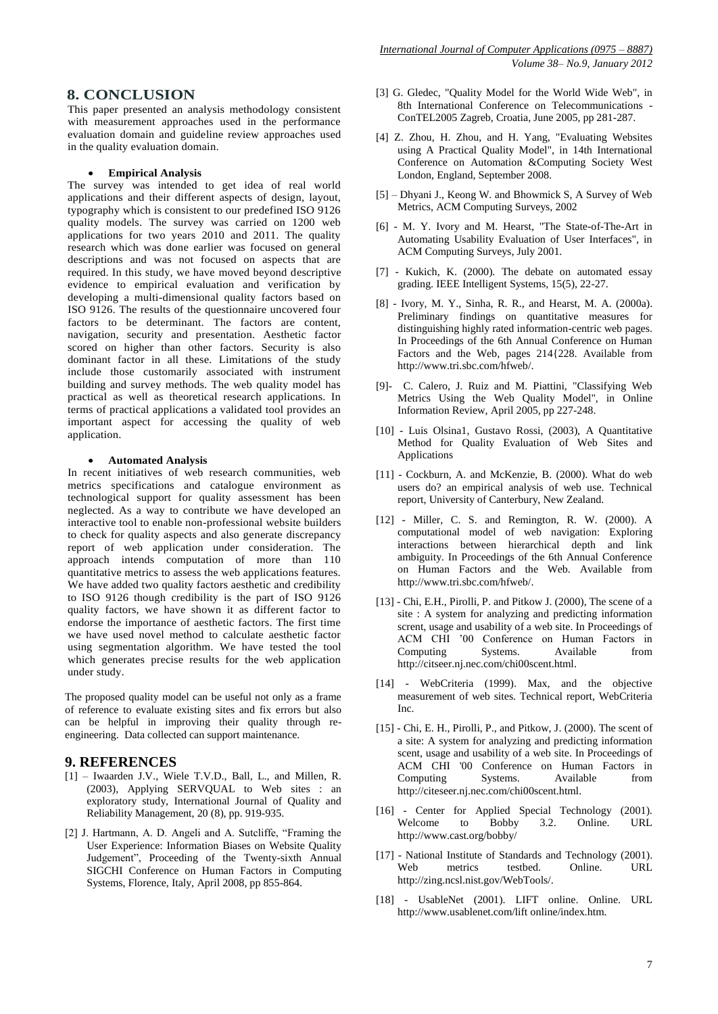# **8. CONCLUSION**

This paper presented an analysis methodology consistent with measurement approaches used in the performance evaluation domain and guideline review approaches used in the quality evaluation domain.

### **Empirical Analysis**

The survey was intended to get idea of real world applications and their different aspects of design, layout, typography which is consistent to our predefined ISO 9126 quality models. The survey was carried on 1200 web applications for two years 2010 and 2011. The quality research which was done earlier was focused on general descriptions and was not focused on aspects that are required. In this study, we have moved beyond descriptive evidence to empirical evaluation and verification by developing a multi-dimensional quality factors based on ISO 9126. The results of the questionnaire uncovered four factors to be determinant. The factors are content, navigation, security and presentation. Aesthetic factor scored on higher than other factors. Security is also dominant factor in all these. Limitations of the study include those customarily associated with instrument building and survey methods. The web quality model has practical as well as theoretical research applications. In terms of practical applications a validated tool provides an important aspect for accessing the quality of web application.

### **Automated Analysis**

In recent initiatives of web research communities, web metrics specifications and catalogue environment as technological support for quality assessment has been neglected. As a way to contribute we have developed an interactive tool to enable non-professional website builders to check for quality aspects and also generate discrepancy report of web application under consideration. The approach intends computation of more than 110 quantitative metrics to assess the web applications features. We have added two quality factors aesthetic and credibility to ISO 9126 though credibility is the part of ISO 9126 quality factors, we have shown it as different factor to endorse the importance of aesthetic factors. The first time we have used novel method to calculate aesthetic factor using segmentation algorithm. We have tested the tool which generates precise results for the web application under study.

The proposed quality model can be useful not only as a frame of reference to evaluate existing sites and fix errors but also can be helpful in improving their quality through reengineering. Data collected can support maintenance.

# **9. REFERENCES**

- [1] Iwaarden J.V., Wiele T.V.D., Ball, L., and Millen, R. (2003), Applying SERVQUAL to Web sites : an exploratory study, International Journal of Quality and Reliability Management, 20 (8), pp. 919-935.
- [2] J. Hartmann, A. D. Angeli and A. Sutcliffe, "Framing the User Experience: Information Biases on Website Quality Judgement", Proceeding of the Twenty-sixth Annual SIGCHI Conference on Human Factors in Computing Systems, Florence, Italy, April 2008, pp 855-864.
- [3] G. Gledec, "Quality Model for the World Wide Web", in 8th International Conference on Telecommunications - ConTEL2005 Zagreb, Croatia, June 2005, pp 281-287.
- [4] Z. Zhou, H. Zhou, and H. Yang, "Evaluating Websites using A Practical Quality Model", in 14th International Conference on Automation &Computing Society West London, England, September 2008.
- [5] Dhyani J., Keong W. and Bhowmick S, A Survey of Web Metrics, ACM Computing Surveys, 2002
- [6] M. Y. Ivory and M. Hearst, "The State-of-The-Art in Automating Usability Evaluation of User Interfaces", in ACM Computing Surveys, July 2001.
- [7] Kukich, K. (2000). The debate on automated essay grading. IEEE Intelligent Systems, 15(5), 22-27.
- [8] Ivory, M. Y., Sinha, R. R., and Hearst, M. A. (2000a). Preliminary findings on quantitative measures for distinguishing highly rated information-centric web pages. In Proceedings of the 6th Annual Conference on Human Factors and the Web, pages 214{228. Available from http://www.tri.sbc.com/hfweb/.
- [9]- C. Calero, J. Ruiz and M. Piattini, "Classifying Web Metrics Using the Web Quality Model", in Online Information Review, April 2005, pp 227-248.
- [10] Luis Olsina1, Gustavo Rossi, (2003), A Quantitative Method for Quality Evaluation of Web Sites and Applications
- [11] Cockburn, A. and McKenzie, B. (2000). What do web users do? an empirical analysis of web use. Technical report, University of Canterbury, New Zealand.
- [12] Miller, C. S. and Remington, R. W. (2000). A computational model of web navigation: Exploring interactions between hierarchical depth and link ambiguity. In Proceedings of the 6th Annual Conference on Human Factors and the Web. Available from [http://www.tri.sbc.com/hfweb/.](http://www.tri.sbc.com/hfweb/)
- [13] Chi, E.H., Pirolli, P. and Pitkow J. (2000), The scene of a site : A system for analyzing and predicting information scrent, usage and usability of a web site. In Proceedings of ACM CHI '00 Conference on Human Factors in Computing Systems. Available from [http://citseer.nj.nec.com/chi00scent.html.](http://citseer.nj.nec.com/chi00scent.html)
- [14] WebCriteria (1999). Max, and the objective measurement of web sites. Technical report, WebCriteria Inc.
- [15] Chi, E. H., Pirolli, P., and Pitkow, J. (2000). The scent of a site: A system for analyzing and predicting information scent, usage and usability of a web site. In Proceedings of ACM CHI '00 Conference on Human Factors in Computing Systems. Available from [http://citeseer.nj.nec.com/chi00scent.html.](http://citeseer.nj.nec.com/chi00scent.html)
- [16] Center for Applied Special Technology (2001). Welcome to Bobby 3.2. Online. URL <http://www.cast.org/bobby/>
- [17] National Institute of Standards and Technology (2001). Web metrics testbed. Online. URL http://zing.ncsl.nist.gov/WebTools/.
- [18] UsableNet (2001). LIFT online. Online. URL http://www.usablenet.com/lift online/index.htm.